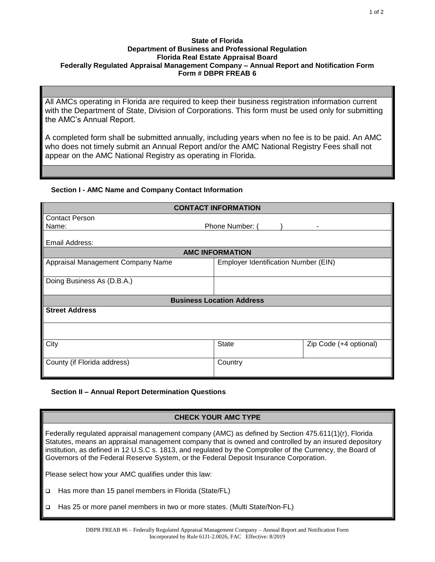#### **State of Florida Department of Business and Professional Regulation Florida Real Estate Appraisal Board Federally Regulated Appraisal Management Company – Annual Report and Notification Form Form # DBPR FREAB 6**

All AMCs operating in Florida are required to keep their business registration information current with the Department of State, Division of Corporations. This form must be used only for submitting the AMC's Annual Report.

A completed form shall be submitted annually, including years when no fee is to be paid. An AMC who does not timely submit an Annual Report and/or the AMC National Registry Fees shall not appear on the AMC National Registry as operating in Florida.

#### **Section I - AMC Name and Company Contact Information**

| <b>CONTACT INFORMATION</b>        |                                      |                        |
|-----------------------------------|--------------------------------------|------------------------|
| <b>Contact Person</b>             |                                      |                        |
| Name:<br>Phone Number: (          |                                      |                        |
| Email Address:                    |                                      |                        |
| <b>AMC INFORMATION</b>            |                                      |                        |
| Appraisal Management Company Name | Employer Identification Number (EIN) |                        |
| Doing Business As (D.B.A.)        |                                      |                        |
| <b>Business Location Address</b>  |                                      |                        |
| <b>Street Address</b>             |                                      |                        |
|                                   |                                      |                        |
|                                   |                                      |                        |
| City                              | <b>State</b>                         | Zip Code (+4 optional) |
| County (if Florida address)       | Country                              |                        |

## **Section II – Annual Report Determination Questions**

## **CHECK YOUR AMC TYPE**

Federally regulated appraisal management company (AMC) as defined by Section 475.611(1)(r), Florida Statutes, means an appraisal management company that is owned and controlled by an insured depository institution, as defined in 12 U.S.C s. 1813, and regulated by the Comptroller of the Currency, the Board of Governors of the Federal Reserve System, or the Federal Deposit Insurance Corporation.

Please select how your AMC qualifies under this law:

□ Has more than 15 panel members in Florida (State/FL)

□ Has 25 or more panel members in two or more states. (Multi State/Non-FL)